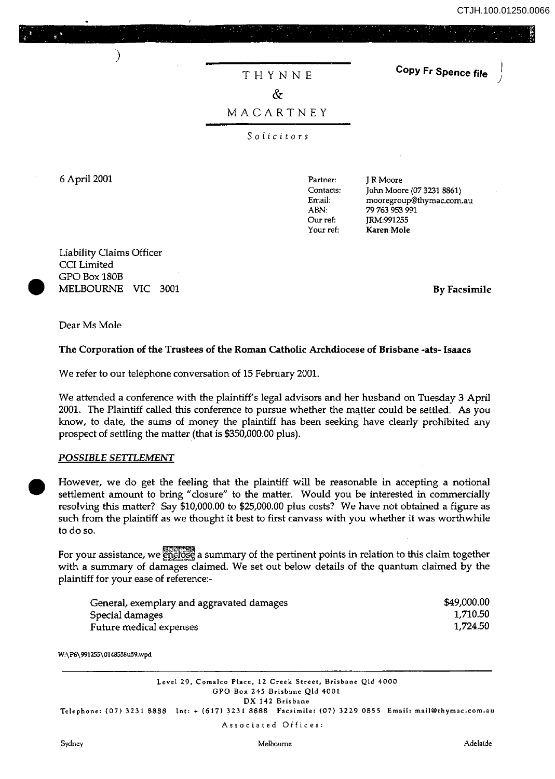CTJH.100.01250.00<br>المستخدمات التعميد بالمستخدمات المستخدمات المستخدمات المستخدمات المستخدمات المستخدمات المستخدمات المستخدمات ال<br>المستخدمات المستخدمات المستخدمات المستخدمات المستخدمات المستخدمات المستخدمات المستخدمات المس CTJH.100.01250.0066

)

# THYNNE

**Copy Fr Spence file** 

## $\delta$

### MACARTNEY

*Solicitors* 

6 April 2001

Partner: **Contacts:**  Email: ABN: Our ref: Your ref:

J R Moore John Moore (0732318861) **mooregroup@thymac.com.au**  79763 953 991 JRM:9912S5 Karen Mole

 $\begin{array}{c} \n \begin{array}{c} C \\ G \\ M \end{array} \end{array}$ Liability Claims Officer CCI Limited GPO Box 180B MELBOURNE VIC 3001

)

By Facsimile

Dear Ms Mole

#### The Corporation of the Trustees of the Roman Catholic Archdiocese of Brisbane -ats- Isaacs

We refer to our telephone conversation of 15 February 2001.

We attended a conference with the plaintiff's legal advisors and her husband on Tuesday 3 April 2001. The Plaintiff called this conference to pursue whether the matter could be settled. As you know, to date, the sums of money the plaintiff has been seeking have clearly prohibited any prospect of settling the matter (that is \$350,000.00 plus).

#### *POSSIBLE SETTLEMENT*

 $\begin{array}{ccc}\n & H & \text{se} \\
 & H & \text{se} \\
 & \text{se} & \text{se} \\
 & \text{se} & \text{se}\n \end{array}$ However, we do get the feeling that the plaintiff will be reasonable in accepting a notional settlement amount to bring "closure" to the matter. Would you be interested in commercially resolving this matter? Say \$10,000.00 to \$25,000.00 plus costs? We have not obtained a figure as such from the plaintiff as we thought it best to first canvass with you whether it was worthwhile to do so.

For your assistance, we enclose a summary of the pertinent points in relation to this claim together with a summary of damages claimed. We set out below details of the quantum claimed by the plaintiff for your ease of reference:-

| General, exemplary and aggravated damages | \$49,000.00 |
|-------------------------------------------|-------------|
| Special damages                           | 1,710.50    |
| Future medical expenses                   | 1,724.50    |

W:\P6\991255\0148558u59.wpd

**Level 29. Comalco Place. 12 Creek Street. Brisbane Qld 4000 GPO Box 245 Brisbane Qld 4001 DX 142 Brisbane Telephone: (07) 32318888 lnt: + (617) 3231 8888 Facsimile: (07) 3229 0855 Email: mai.l@thymacocom.au** 

**Associated Offices:** 

Sydney **Melbourne Adelaide**